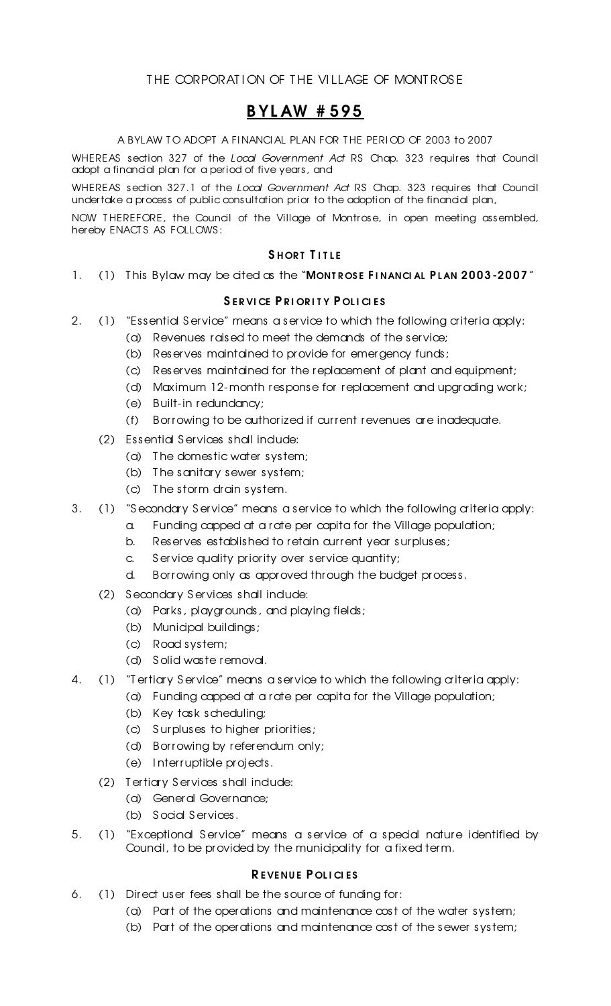### THE CORPORATION OF THE VILLAGE OF MONTROSE

## B YL AW # 595

A BYLAW TO ADOPT A FINANCIAL PLAN FOR THE PERIOD OF 2003 to 2007

WHEREAS section 327 of the *Local Government Act* RS Chap. 323 requires that Council adopt a financial plan for a period of five years, and

WHEREAS section 327.1 of the *Local Government Act* RS Chap. 323 requires that Council undertake a process of public consultation prior to the adoption of the financial plan,

NOW T HEREFORE, the Council of the Village of Montrose, in open meeting assembled, hereby ENACT S AS FOLLOWS :

### SHORT TITLE

1. (1) This Bylaw may be cited as the "MONTROSE FINANCIAL PLAN 2003-2007"

#### SERVICE PRIORITY POLICIES

- 2. (1) "Essential Service" means a service to which the following a iteria apply:
	- (a) Revenues raised to meet the demands of the service;
	- (b) Reserves maintained to provide for emergency funds;
	- (c) Reserves maintained for the replacement of plant and equipment;
	- (d) Maximum 12-month response for replacement and upgrading work;
	- (e) Built-in redundancy;
	- (f) Borrowing to be authorized if current revenues are inadequate.
	- (2) Essential Services shall indude:
		- (a) T he domestic water system;
		- (b) T he sanitary sewer system;
		- (c) T he storm drain system.
- 3. (1) "Secondary Service" means a service to which the following a iteria apply:
	- a. Funding capped at a rate per capita for the Village population;
	- b. Reserves established to retain current year surpluses;
	- c. S ervice quality priority over service quantity;
	- d. Borrowing only as approved through the budget process.
	- (2) Secondary Services shall indude:
		- (a) Parks, playgrounds, and playing fields;
		- (b) Municipal buildings;
		- (c) Road system;
		- (d) S olid waste removal.
- 4. (1) "T ertiary Service" means a service to which the following a iteria apply:
	- (a) Funding capped at a rate per capita for the Village population;
	- (b) Key task scheduling;
	- (c) S urpluses to higher priorities;
	- (d) Borrowing by referendum only;
	- (e) I nterruptible projects.
	- (2) T ertiary S ervices shall include:
		- (a) General Governance;
		- (b) S ocial S ervices.
- 5. (1) "Exceptional S ervice" means a service of a special nature identified by Council, to be provided by the municipality for a fixed term.

#### REVENUE POLICIES

- 6. (1) Direct user fees shall be the source of funding for:
	- (a) Part of the operations and maintenance cost of the water system;
	- (b) Part of the operations and maintenance cost of the sewer system;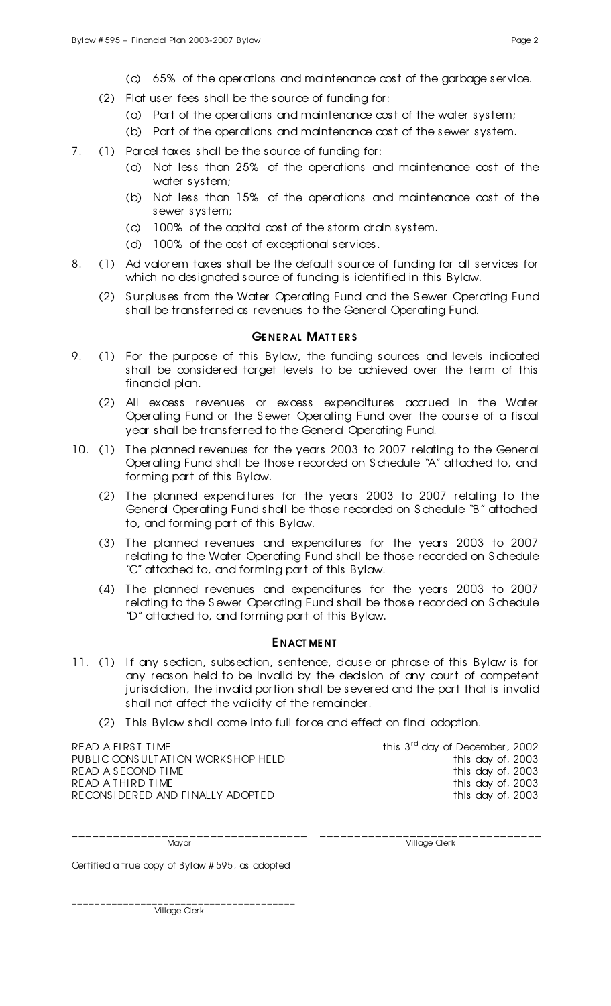- (c) 65% of the operations and maintenance cost of the garbage service.
- (2) Flat user fees shall be the source of funding for:
	- (a) Part of the operations and maintenance cost of the water system;
	- (b) Part of the operations and maintenance cost of the sewer system.
- 7. (1) Parcel taxes shall be the source of funding for:
	- (a) Not less than 25% of the operations and maintenance cost of the water system;
	- (b) Not less than 15% of the operations and maintenance cost of the sewer system;
	- (c) 100% of the capital cost of the storm drain system.
	- (d) 100% of the cost of exceptional services.
- 8. (1) Ad valorem taxes shall be the default source of funding for all services for which no designated source of funding is identified in this Bylaw.
	- (2) S urpluses from the Water Operating Fund and the S ewer Operating Fund shall be transferred as revenues to the General Operating Fund.

#### **GENERAL MATTERS**

- 9. (1) For the purpose of this Bylaw, the funding sources and levels indicated shall be considered target levels to be achieved over the term of this financial plan.
	- (2) All excess revenues or excess expenditures accrued in the Water Operating Fund or the S ewer Operating Fund over the course of a fiscal year shall be transferred to the General Operating Fund.
- 10. (1) The planned revenues for the years 2003 to 2007 relating to the General Operating Fund shall be those recorded on S chedule "A" attached to, and forming part of this Bylaw.
	- (2) T he planned expenditures for the years 2003 to 2007 relating to the General Operating Fund shall be those recorded on S chedule "B" attached to, and forming part of this Bylaw.
	- (3) T he planned revenues and expenditures for the years 2003 to 2007 relating to the Water Operating Fund shall be those recorded on S chedule "C" attached to, and forming part of this Bylaw.
	- (4) T he planned revenues and expenditures for the years 2003 to 2007 relating to the S ewer Operating Fund shall be those recorded on S chedule "D" attached to, and forming part of this Bylaw.

#### E NACT ME NT

- 11. (1) If any section, subsection, sentence, dause or phrase of this Bylaw is for any reason held to be invalid by the decision of any court of competent jurisdiction, the invalid portion shall be severed and the part that is invalid shall not affect the validity of the remainder.
	- (2) T his Bylaw shall come into full force and effect on final adoption.

READ A FIRST TIME PUBLIC CONSULTATION WORKS HOP HELD<br>READ A SECOND TIME this day of, 2003 READ A SECOND TIME<br>READ A THIRD TIME this day of, 2003 READ A THIRD TIME<br>RECONSIDERED AND FINALLY ADOPTED this day of, 2003 RECONSIDERED AND FINALLY ADOPTED

this  $3<sup>rd</sup>$  day of December, 2002<br>this day of, 2003

\_\_\_\_\_\_\_\_\_\_\_\_\_\_\_\_\_\_\_\_\_\_\_\_\_\_\_\_\_\_\_\_\_\_ \_\_\_\_\_\_\_\_\_\_\_\_\_\_\_\_\_\_\_\_\_\_\_\_\_\_\_\_\_\_\_\_ Mayor **Mayor** Village Clerk

Certified a true copy of Bylaw # 595, as adopted

Village Cler k

\_\_\_\_\_\_\_\_\_\_\_\_\_\_\_\_\_\_\_\_\_\_\_\_\_\_\_\_\_\_\_\_\_\_\_\_\_\_\_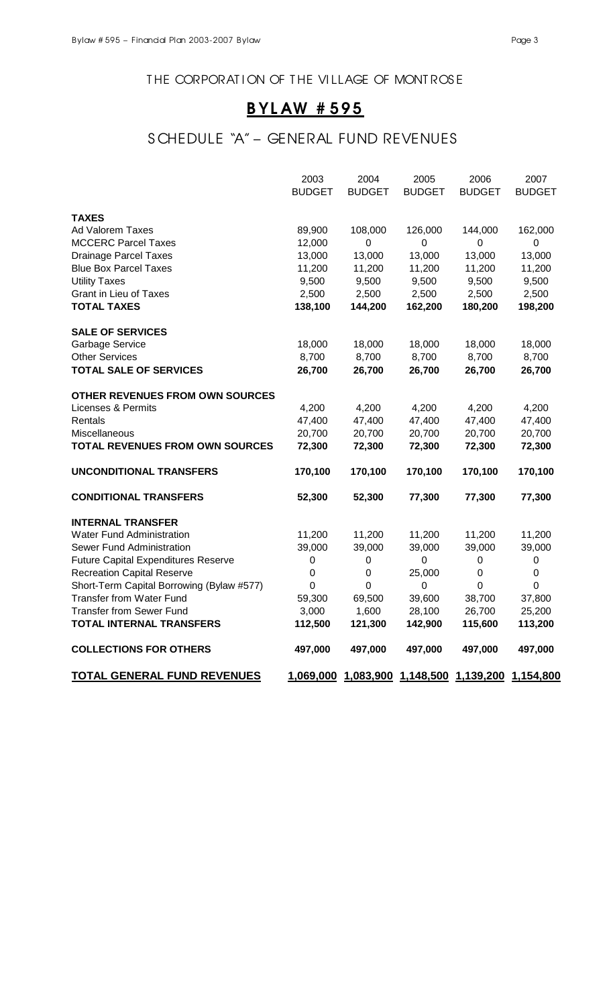### THE CORPORATION OF THE VILLAGE OF MONTROSE

## B YL AW # 595

## S CHEDULE "A" – GENERAL FUND REVENUES

|                                            | 2003          | 2004          | 2005          | 2006          | 2007          |
|--------------------------------------------|---------------|---------------|---------------|---------------|---------------|
|                                            | <b>BUDGET</b> | <b>BUDGET</b> | <b>BUDGET</b> | <b>BUDGET</b> | <b>BUDGET</b> |
| <b>TAXES</b>                               |               |               |               |               |               |
| Ad Valorem Taxes                           | 89,900        | 108,000       | 126,000       | 144,000       | 162,000       |
| <b>MCCERC Parcel Taxes</b>                 | 12,000        | 0             | 0             | 0             | $\pmb{0}$     |
| Drainage Parcel Taxes                      | 13,000        | 13,000        | 13,000        | 13,000        | 13,000        |
| <b>Blue Box Parcel Taxes</b>               | 11,200        | 11,200        | 11,200        | 11,200        | 11,200        |
| <b>Utility Taxes</b>                       | 9,500         | 9,500         | 9,500         | 9,500         | 9,500         |
| <b>Grant in Lieu of Taxes</b>              | 2,500         | 2,500         | 2,500         | 2,500         | 2,500         |
| <b>TOTAL TAXES</b>                         | 138,100       | 144,200       | 162,200       | 180,200       | 198,200       |
| <b>SALE OF SERVICES</b>                    |               |               |               |               |               |
| Garbage Service                            | 18,000        | 18,000        | 18,000        | 18,000        | 18,000        |
| <b>Other Services</b>                      | 8,700         | 8,700         | 8,700         | 8,700         | 8,700         |
| <b>TOTAL SALE OF SERVICES</b>              | 26,700        | 26,700        | 26,700        | 26,700        | 26,700        |
| OTHER REVENUES FROM OWN SOURCES            |               |               |               |               |               |
| Licenses & Permits                         | 4,200         | 4,200         | 4,200         | 4,200         | 4,200         |
| Rentals                                    | 47,400        | 47,400        | 47,400        | 47,400        | 47,400        |
| Miscellaneous                              | 20,700        | 20,700        | 20,700        | 20,700        | 20,700        |
| <b>TOTAL REVENUES FROM OWN SOURCES</b>     | 72,300        | 72,300        | 72,300        | 72,300        | 72,300        |
| <b>UNCONDITIONAL TRANSFERS</b>             | 170,100       | 170,100       | 170,100       | 170,100       | 170,100       |
| <b>CONDITIONAL TRANSFERS</b>               | 52,300        | 52,300        | 77,300        | 77,300        | 77,300        |
| <b>INTERNAL TRANSFER</b>                   |               |               |               |               |               |
| <b>Water Fund Administration</b>           | 11,200        | 11,200        | 11,200        | 11,200        | 11,200        |
| Sewer Fund Administration                  | 39,000        | 39,000        | 39,000        | 39,000        | 39,000        |
| <b>Future Capital Expenditures Reserve</b> | 0             | 0             | 0             | 0             | 0             |
| <b>Recreation Capital Reserve</b>          | $\mathbf 0$   | $\pmb{0}$     | 25,000        | $\mathsf 0$   | $\pmb{0}$     |
| Short-Term Capital Borrowing (Bylaw #577)  | 0             | $\mathbf 0$   | 0             | 0             | 0             |
| <b>Transfer from Water Fund</b>            | 59,300        | 69,500        | 39,600        | 38,700        | 37,800        |
| <b>Transfer from Sewer Fund</b>            | 3,000         | 1,600         | 28,100        | 26,700        | 25,200        |
| <b>TOTAL INTERNAL TRANSFERS</b>            | 112,500       | 121,300       | 142,900       | 115,600       | 113,200       |
| <b>COLLECTIONS FOR OTHERS</b>              | 497,000       | 497,000       | 497,000       | 497,000       | 497,000       |
| <b>TOTAL GENERAL FUND REVENUES</b>         | 1,069,000     |               |               |               | 1,154,800     |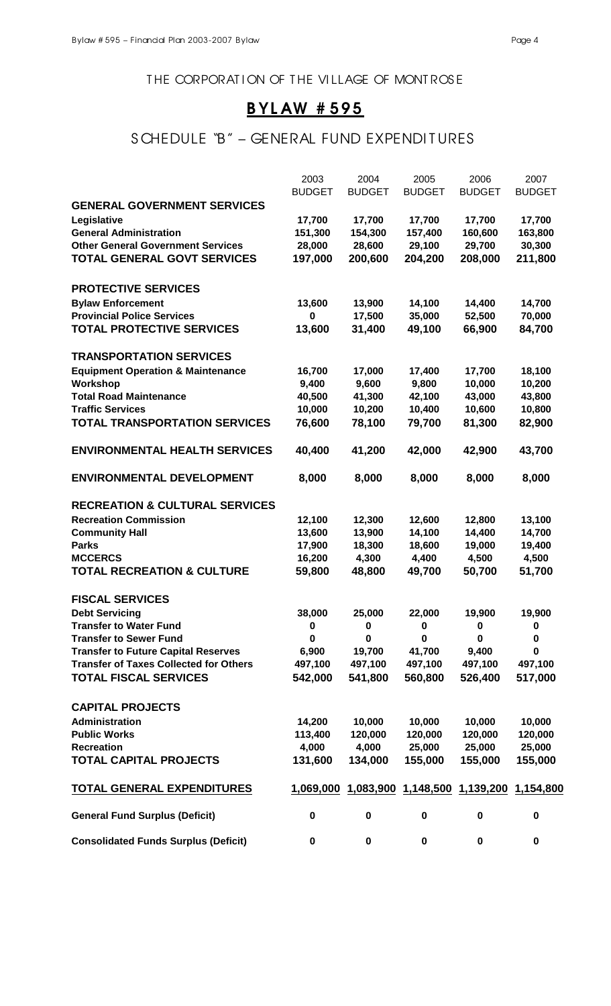THE CORPORATION OF THE VILLAGE OF MONTROSE

## B YL AW # 595

## S CHEDULE "B" - GENERAL FUND EXPENDITURES

|                                               | 2003          | 2004          | 2005                                              | 2006          | 2007          |
|-----------------------------------------------|---------------|---------------|---------------------------------------------------|---------------|---------------|
|                                               | <b>BUDGET</b> | <b>BUDGET</b> | <b>BUDGET</b>                                     | <b>BUDGET</b> | <b>BUDGET</b> |
| <b>GENERAL GOVERNMENT SERVICES</b>            |               |               |                                                   |               |               |
| Legislative                                   | 17,700        | 17,700        | 17,700                                            | 17,700        | 17,700        |
| <b>General Administration</b>                 | 151,300       | 154,300       | 157,400                                           | 160,600       | 163,800       |
| <b>Other General Government Services</b>      | 28,000        | 28,600        | 29,100                                            | 29,700        | 30,300        |
| <b>TOTAL GENERAL GOVT SERVICES</b>            | 197,000       | 200,600       | 204,200                                           | 208,000       | 211,800       |
| <b>PROTECTIVE SERVICES</b>                    |               |               |                                                   |               |               |
| <b>Bylaw Enforcement</b>                      | 13,600        | 13,900        | 14,100                                            | 14,400        | 14,700        |
| <b>Provincial Police Services</b>             | 0             | 17,500        | 35,000                                            | 52,500        | 70,000        |
| <b>TOTAL PROTECTIVE SERVICES</b>              | 13,600        | 31,400        | 49,100                                            | 66,900        | 84,700        |
| <b>TRANSPORTATION SERVICES</b>                |               |               |                                                   |               |               |
| <b>Equipment Operation &amp; Maintenance</b>  | 16,700        | 17,000        | 17,400                                            | 17,700        | 18,100        |
| Workshop                                      | 9,400         | 9,600         | 9,800                                             | 10,000        | 10,200        |
| <b>Total Road Maintenance</b>                 | 40,500        | 41,300        | 42,100                                            | 43,000        | 43,800        |
| <b>Traffic Services</b>                       | 10,000        | 10,200        | 10,400                                            | 10,600        | 10,800        |
| <b>TOTAL TRANSPORTATION SERVICES</b>          | 76,600        | 78,100        | 79,700                                            | 81,300        | 82,900        |
| <b>ENVIRONMENTAL HEALTH SERVICES</b>          | 40,400        | 41,200        | 42,000                                            | 42,900        | 43,700        |
| <b>ENVIRONMENTAL DEVELOPMENT</b>              | 8,000         | 8,000         | 8,000                                             | 8,000         | 8,000         |
| <b>RECREATION &amp; CULTURAL SERVICES</b>     |               |               |                                                   |               |               |
| <b>Recreation Commission</b>                  | 12,100        | 12,300        | 12,600                                            | 12,800        | 13,100        |
| <b>Community Hall</b>                         | 13,600        | 13,900        | 14,100                                            | 14,400        | 14,700        |
| <b>Parks</b>                                  | 17,900        | 18,300        | 18,600                                            | 19,000        | 19,400        |
| <b>MCCERCS</b>                                | 16,200        | 4,300         | 4,400                                             | 4,500         | 4,500         |
| <b>TOTAL RECREATION &amp; CULTURE</b>         | 59,800        | 48,800        | 49,700                                            | 50,700        | 51,700        |
| <b>FISCAL SERVICES</b>                        |               |               |                                                   |               |               |
| <b>Debt Servicing</b>                         | 38,000        | 25,000        | 22,000                                            | 19,900        | 19,900        |
| Transfer to Water Fund                        | 0             | 0             | 0                                                 | $\bf{0}$      | 0             |
| <b>Transfer to Sewer Fund</b>                 | 0             | 0             | 0                                                 | 0             | 0             |
| <b>Transfer to Future Capital Reserves</b>    | 6,900         | 19,700        | 41,700                                            | 9,400         | 0             |
| <b>Transfer of Taxes Collected for Others</b> | 497,100       | 497,100       | 497,100                                           | 497,100       | 497,100       |
| <b>TOTAL FISCAL SERVICES</b>                  | 542,000       | 541,800       | 560,800                                           | 526,400       | 517,000       |
| <b>CAPITAL PROJECTS</b>                       |               |               |                                                   |               |               |
| Administration                                | 14,200        | 10,000        | 10,000                                            | 10,000        | 10,000        |
| <b>Public Works</b>                           | 113,400       | 120,000       | 120,000                                           | 120,000       | 120,000       |
| <b>Recreation</b>                             | 4,000         | 4,000         | 25,000                                            | 25,000        | 25,000        |
| <b>TOTAL CAPITAL PROJECTS</b>                 | 131,600       | 134,000       | 155,000                                           | 155,000       | 155,000       |
| <b>TOTAL GENERAL EXPENDITURES</b>             |               |               | 1,069,000 1,083,900 1,148,500 1,139,200 1,154,800 |               |               |
| <b>General Fund Surplus (Deficit)</b>         | 0             | $\pmb{0}$     | $\pmb{0}$                                         | $\bf{0}$      | $\pmb{0}$     |
| <b>Consolidated Funds Surplus (Deficit)</b>   | 0             | $\pmb{0}$     | $\pmb{0}$                                         | 0             | 0             |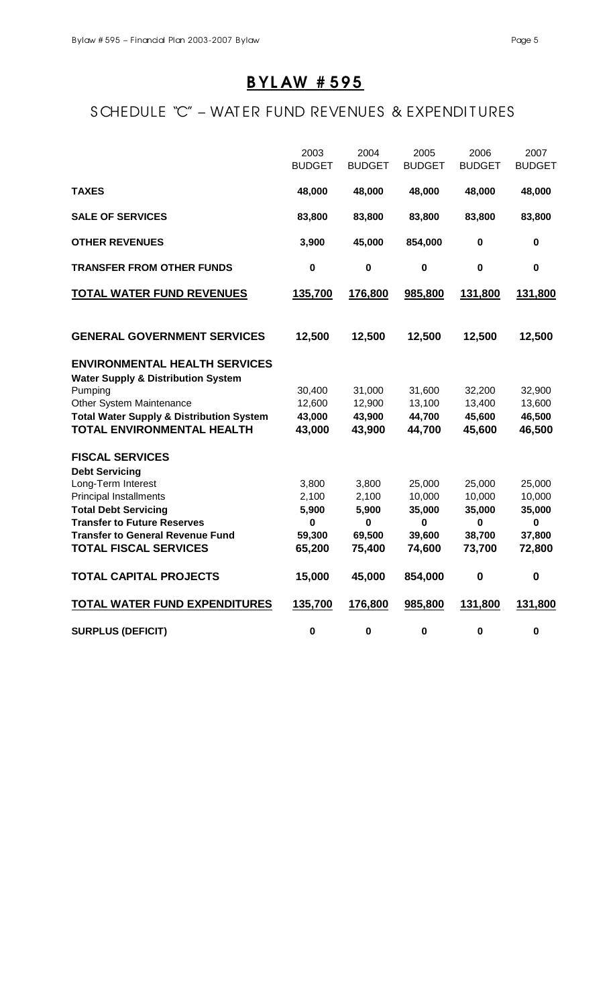# B YL AW # 595

# S CHEDULE "C" – WAT ER FUND REVENUES & EXPENDITURES

|                                                          | 2003<br><b>BUDGET</b> | 2004<br><b>BUDGET</b> | 2005<br><b>BUDGET</b> | 2006<br><b>BUDGET</b> | 2007<br><b>BUDGET</b> |
|----------------------------------------------------------|-----------------------|-----------------------|-----------------------|-----------------------|-----------------------|
| <b>TAXES</b>                                             | 48,000                | 48,000                | 48,000                | 48,000                | 48,000                |
| <b>SALE OF SERVICES</b>                                  | 83,800                | 83,800                | 83,800                | 83,800                | 83,800                |
| <b>OTHER REVENUES</b>                                    | 3,900                 | 45,000                | 854,000               | $\mathbf 0$           | $\mathbf 0$           |
| <b>TRANSFER FROM OTHER FUNDS</b>                         | $\mathbf 0$           | $\mathbf 0$           | $\mathbf 0$           | $\mathbf 0$           | $\mathbf 0$           |
| <b>TOTAL WATER FUND REVENUES</b>                         | 135,700               | 176,800               | 985,800               | 131,800               | 131,800               |
| <b>GENERAL GOVERNMENT SERVICES</b>                       | 12,500                | 12,500                | 12,500                | 12,500                | 12,500                |
| <b>ENVIRONMENTAL HEALTH SERVICES</b>                     |                       |                       |                       |                       |                       |
| <b>Water Supply &amp; Distribution System</b><br>Pumping | 30,400                | 31,000                | 31,600                | 32,200                | 32,900                |
| Other System Maintenance                                 | 12,600                | 12,900                | 13,100                | 13,400                | 13,600                |
| <b>Total Water Supply &amp; Distribution System</b>      | 43,000                | 43,900                | 44,700                | 45,600                | 46,500                |
| <b>TOTAL ENVIRONMENTAL HEALTH</b>                        | 43,000                | 43,900                | 44,700                | 45,600                | 46,500                |
| <b>FISCAL SERVICES</b>                                   |                       |                       |                       |                       |                       |
| <b>Debt Servicing</b><br>Long-Term Interest              | 3,800                 | 3,800                 | 25,000                | 25,000                | 25,000                |
| <b>Principal Installments</b>                            | 2,100                 | 2,100                 | 10,000                | 10,000                | 10,000                |
| <b>Total Debt Servicing</b>                              | 5,900                 | 5,900                 | 35,000                | 35,000                | 35,000                |
| <b>Transfer to Future Reserves</b>                       | $\pmb{0}$             | $\mathbf 0$           | $\mathbf 0$           | $\mathbf 0$           | $\mathbf 0$           |
| <b>Transfer to General Revenue Fund</b>                  | 59,300                | 69,500                | 39,600                | 38,700                | 37,800                |
| <b>TOTAL FISCAL SERVICES</b>                             | 65,200                | 75,400                | 74,600                | 73,700                | 72,800                |
| <b>TOTAL CAPITAL PROJECTS</b>                            | 15,000                | 45,000                | 854,000               | $\bf{0}$              | $\bf{0}$              |
| <b>TOTAL WATER FUND EXPENDITURES</b>                     | 135,700               | 176,800               | 985,800               | 131,800               | 131,800               |
| <b>SURPLUS (DEFICIT)</b>                                 | $\mathbf 0$           | $\mathbf 0$           | $\pmb{0}$             | $\mathbf 0$           | $\mathbf 0$           |